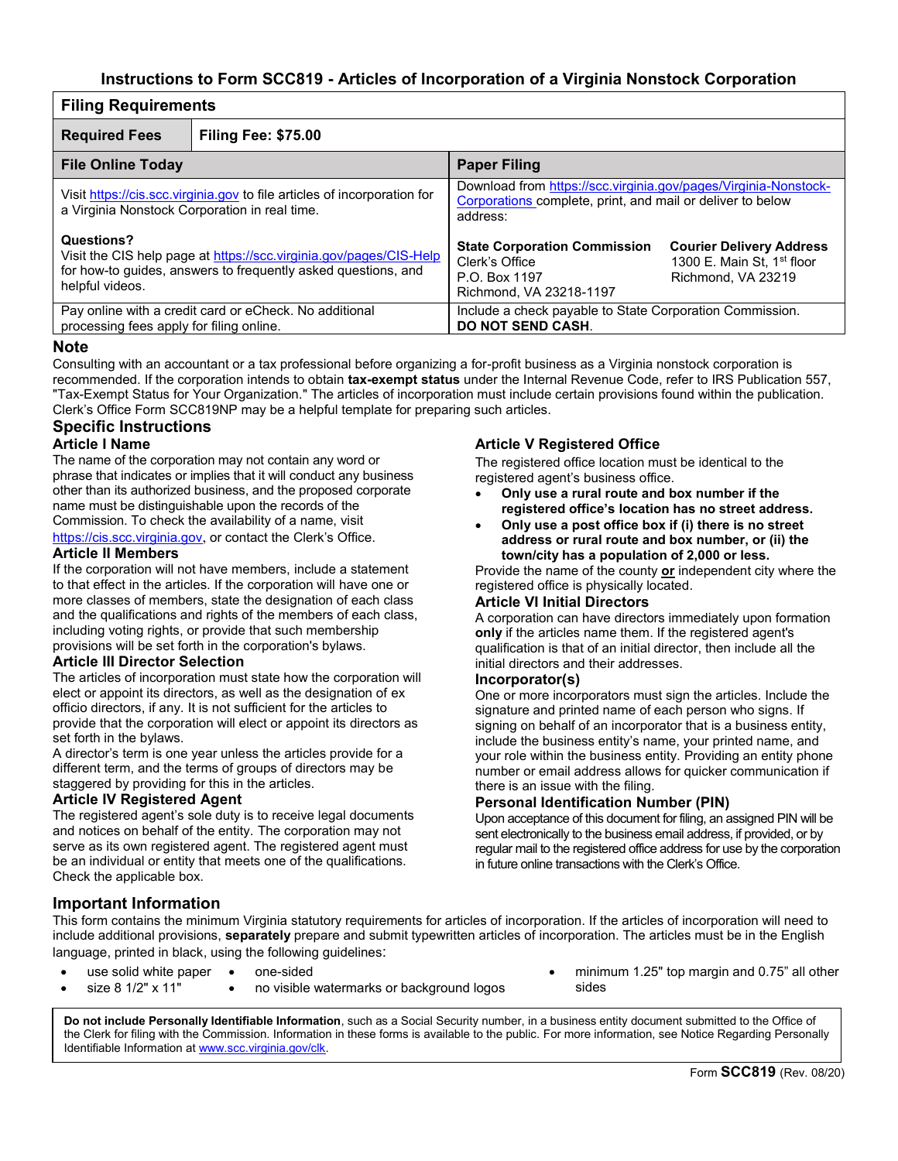# **Instructions to Form SCC819 - Articles of Incorporation of a Virginia Nonstock Corporation**

| <b>Filing Requirements</b>                                                                                                                                           |                            |                                                                                                                                           |                                                                                                 |  |  |  |  |
|----------------------------------------------------------------------------------------------------------------------------------------------------------------------|----------------------------|-------------------------------------------------------------------------------------------------------------------------------------------|-------------------------------------------------------------------------------------------------|--|--|--|--|
| <b>Required Fees</b>                                                                                                                                                 | <b>Filing Fee: \$75.00</b> |                                                                                                                                           |                                                                                                 |  |  |  |  |
| <b>File Online Today</b>                                                                                                                                             |                            | <b>Paper Filing</b>                                                                                                                       |                                                                                                 |  |  |  |  |
| Visit https://cis.scc.virginia.gov to file articles of incorporation for<br>a Virginia Nonstock Corporation in real time.                                            |                            | Download from https://scc.virginia.gov/pages/Virginia-Nonstock-<br>Corporations complete, print, and mail or deliver to below<br>address: |                                                                                                 |  |  |  |  |
| Questions?<br>Visit the CIS help page at https://scc.virginia.gov/pages/CIS-Help<br>for how-to guides, answers to frequently asked questions, and<br>helpful videos. |                            | <b>State Corporation Commission</b><br>Clerk's Office<br>P.O. Box 1197<br>Richmond, VA 23218-1197                                         | <b>Courier Delivery Address</b><br>1300 E. Main St. 1 <sup>st</sup> floor<br>Richmond, VA 23219 |  |  |  |  |
| Pay online with a credit card or eCheck. No additional<br>processing fees apply for filing online.                                                                   |                            | Include a check payable to State Corporation Commission.<br><b>DO NOT SEND CASH.</b>                                                      |                                                                                                 |  |  |  |  |

#### **Note**

Consulting with an accountant or a tax professional before organizing a for-profit business as a Virginia nonstock corporation is recommended. If the corporation intends to obtain **tax-exempt status** under the Internal Revenue Code, refer to IRS Publication 557, "Tax-Exempt Status for Your Organization." The articles of incorporation must include certain provisions found within the publication. Clerk's Office Form SCC819NP may be a helpful template for preparing such articles.

## **Specific Instructions**

#### **Article I Name**

The name of the corporation may not contain any word or phrase that indicates or implies that it will conduct any business other than its authorized business, and the proposed corporate name must be distinguishable upon the records of the Commission. To check the availability of a name, visit https://cis.scc.virginia.gov, or contact the Clerk's Office.

#### **Article II Members**

If the corporation will not have members, include a statement to that effect in the articles. If the corporation will have one or more classes of members, state the designation of each class and the qualifications and rights of the members of each class. including voting rights, or provide that such membership provisions will be set forth in the corporation's bylaws.

#### **Article III Director Selection**

The articles of incorporation must state how the corporation will elect or appoint its directors, as well as the designation of ex officio directors, if any. It is not sufficient for the articles to provide that the corporation will elect or appoint its directors as set forth in the bylaws.

A director's term is one year unless the articles provide for a different term, and the terms of groups of directors may be staggered by providing for this in the articles.

#### **Article IV Registered Agent**

The registered agent's sole duty is to receive legal documents and notices on behalf of the entity. The corporation may not serve as its own registered agent. The registered agent must be an individual or entity that meets one of the qualifications. Check the applicable box.

### **Article V Registered Office**

The registered office location must be identical to the registered agent's business office.

- **Only use a rural route and box number if the registered office's location has no street address.**
- **Only use a post office box if (i) there is no street address or rural route and box number, or (ii) the town/city has a population of 2,000 or less.**

Provide the name of the county **or** independent city where the registered office is physically located.

#### **Article VI Initial Directors**

A corporation can have directors immediately upon formation **only** if the articles name them. If the registered agent's qualification is that of an initial director, then include all the initial directors and their addresses.

#### **Incorporator(s)**

One or more incorporators must sign the articles. Include the signature and printed name of each person who signs. If signing on behalf of an incorporator that is a business entity, include the business entity's name, your printed name, and your role within the business entity. Providing an entity phone number or email address allows for quicker communication if there is an issue with the filing.

### **Personal Identification Number (PIN)**

Upon acceptance of this document for filing, an assigned PIN will be sent electronically to the business email address, if provided, or by regular mail to the registered office address for use by the corporation in future online transactions with the Clerk's Office.

# **Important Information**

This form contains the minimum Virginia statutory requirements for articles of incorporation. If the articles of incorporation will need to include additional provisions, **separately** prepare and submit typewritten articles of incorporation. The articles must be in the English language, printed in black, using the following guidelines:

- use solid white paper
- one-sided
	- size 8 1/2" x 11" • no visible watermarks or background logos
- minimum 1.25" top margin and 0.75" all other sides

**Do not include Personally Identifiable Information**, such as a Social Security number, in a business entity document submitted to the Office of the Clerk for filing with the Commission. Information in these forms is available to the public. For more information, see Notice Regarding Personally Identifiable Information at www.scc.virginia.gov/clk.